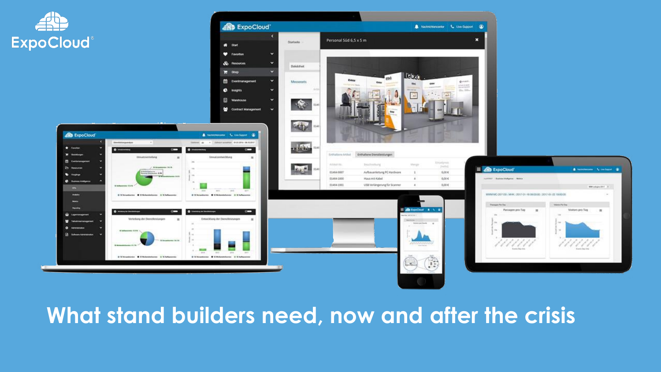

# **What stand builders need, now and after the crisis**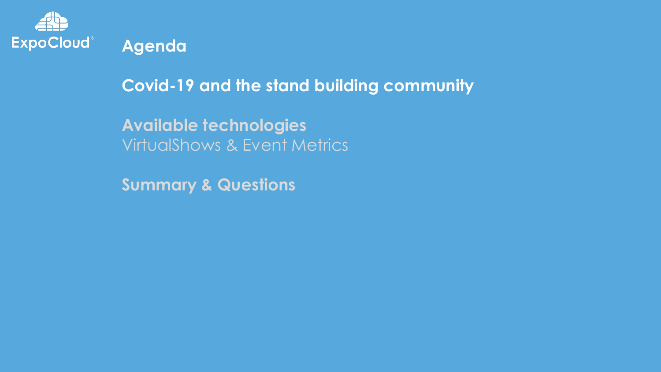

**Agenda**

**Covid-19 and the stand building community**

**Available technologies** VirtualShows & Event Metrics

**Summary & Questions**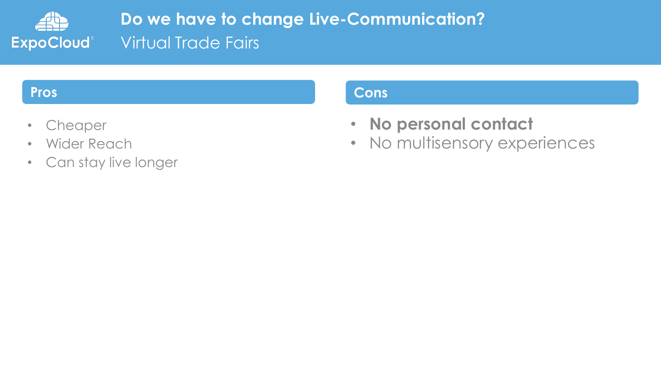

**Do we have to change Live-Communication? Virtual Trade Fairs** 

- Cheaper
- Wider Reach
- Can stay live longer

#### **Pros Cons**

- **No personal contact**
- No multisensory experiences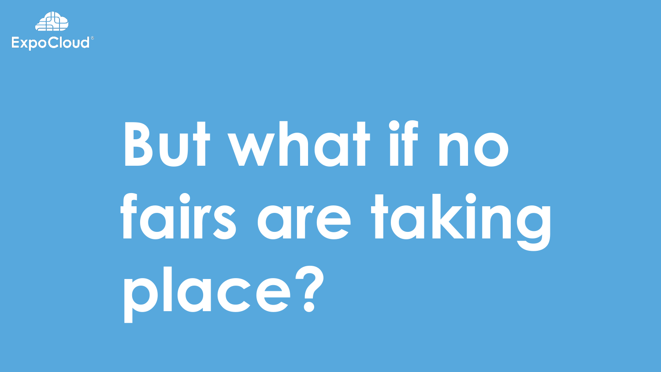

# **But what if no fairs are taking place?**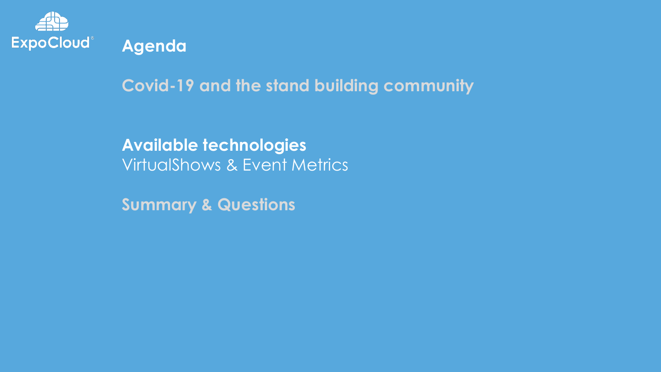

**Agenda**

**Covid-19 and the stand building community**

**Available technologies** VirtualShows & Event Metrics

**Summary & Questions**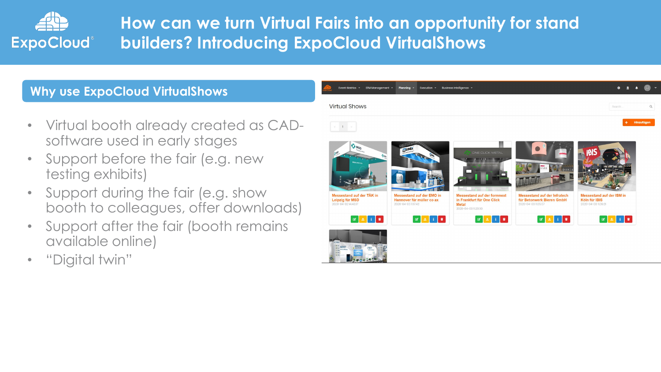

# **How can we turn Virtual Fairs into an opportunity for stand builders? Introducing ExpoCloud VirtualShows**

#### **Why use ExpoCloud VirtualShows**

- Virtual booth already created as CADsoftware used in early stages
- Support before the fair (e.g. new testing exhibits)
- Support during the fair (e.g. show booth to colleagues, offer downloads)
- Support after the fair (booth remains available online)
- "Digital twin"

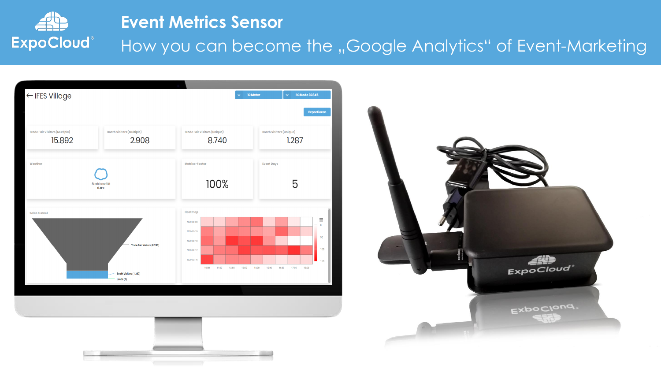

### **Event Metrics Sensor**

How you can become the "Google Analytics" of Event-Marketing





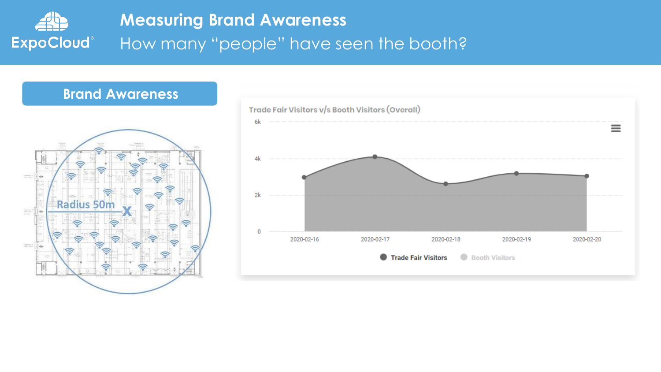

#### **Brand Awareness**



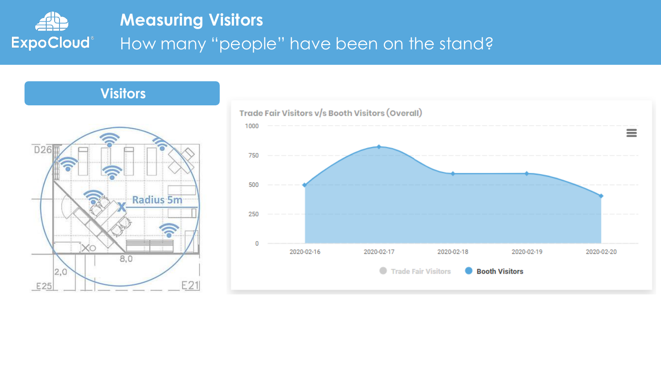





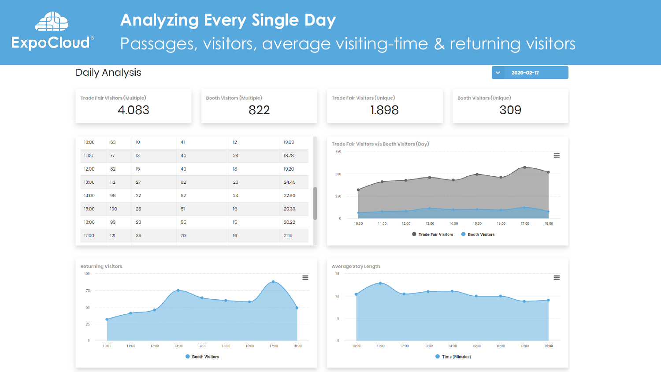





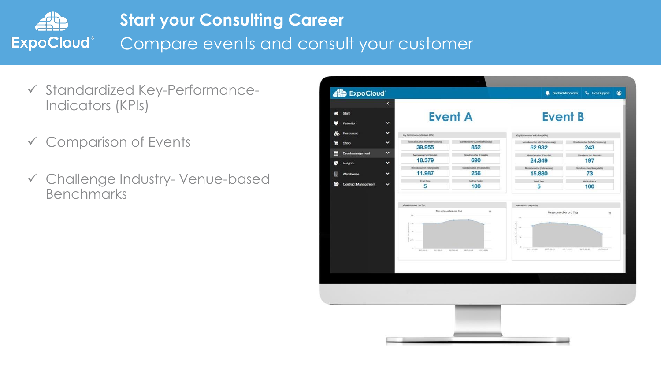

- ✓ Standardized Key-Performance-Indicators (KPIs)
- ✓ Comparison of Events
- ✓ Challenge Industry- Venue-based Benchmarks

| <b>ExpoCloud</b>                | $\blacktriangleleft$ |                                          |                                         |                                         | $\bullet$                                    |
|---------------------------------|----------------------|------------------------------------------|-----------------------------------------|-----------------------------------------|----------------------------------------------|
| Start<br>₩                      |                      | <b>Event A</b>                           |                                         | <b>Event B</b>                          |                                              |
| Favoriten                       | ×                    |                                          |                                         |                                         |                                              |
| ×<br>♨<br><b>Resources</b>      |                      | Key Performance Indicators (KPls)        |                                         | Key Performance Indicators (KPts)       |                                              |
| Shop<br>Ⴙ                       | $\checkmark$         | Memobioucher (Mehrfachmessung)<br>39,955 | Standbesucher (Metrfachtnessung)<br>852 | Messionscher (Mahrhadenssung)<br>52.932 | <b>Itansbeucher (Muhrtschmessung)</b><br>243 |
| Eventmanagement<br>m            | ×                    | Messbesucher (Elimatg)                   | Standbroucher (Einmalig)                | <b>Messbescher (Einnelg)</b>            | Standbesicher (Einmalig)                     |
| Insights<br>œ                   | v                    | 18.379<br>Mensiberucher (Neterprische)   | 690<br>Standbesicher (Retargetable)     | 24.349<br>Mentebenucher (Retargetable)  | 197<br>Standbooscher (Returpriable)          |
| Warehouse<br>閧                  | $\checkmark$         | 11.987                                   | 256                                     | 15.880                                  | 73                                           |
| 는<br><b>Contract Management</b> | v                    | Event Tago<br>5                          | Motrics Fieldor<br>100                  | fixed lags<br>5                         | Midrics Fastor<br>100                        |
|                                 |                      | 236<br>\$107-06-20<br>2017-05-21         | 2017-01-24<br>4917-89-43<br>3817-03-23  | u.<br>2017-09-28<br>3017-01-21          | 2017-01-22<br>$2017 - 01 - 21$<br>2017-03-24 |
|                                 |                      |                                          |                                         |                                         |                                              |
|                                 |                      |                                          |                                         |                                         |                                              |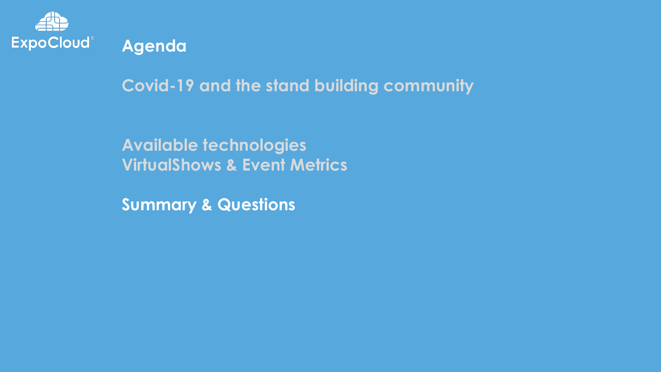

**Agenda**

**Covid-19 and the stand building community**

**Available technologies VirtualShows & Event Metrics**

**Summary & Questions**